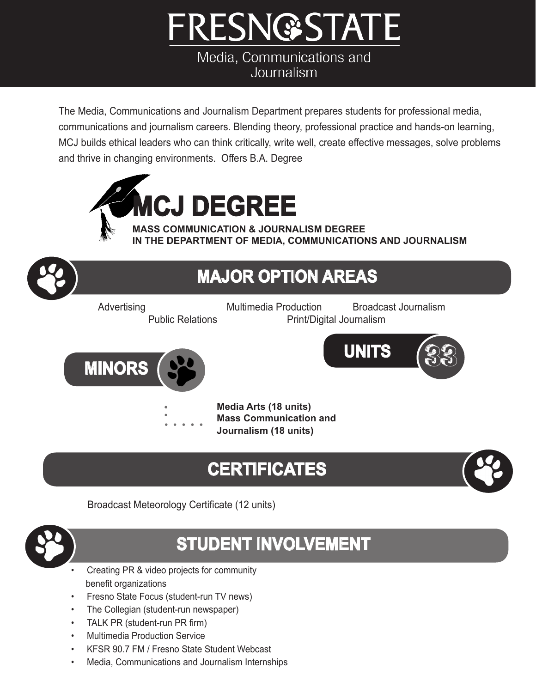# **FRESN@STATE**

Media, Communications and Journalism

The Media, Communications and Journalism Department prepares students for professional media, communications and journalism careers. Blending theory, professional practice and hands-on learning, MCJ builds ethical leaders who can think critically, write well, create effective messages, solve problems and thrive in changing environments. Offers B.A. Degree



**IN THE DEPARTMENT OF MEDIA, COMMUNICATIONS AND JOURNALISM**

# **UNITS MAJOR OPTION AREAS** Advertising Multimedia Production Broadcast Journalism Public Relations **Print** Print<sup></sup> Digital Journalism **MINORS Media Arts (18 units) Mass Communication and Journalism (18 units)**

# **CERTIFICATES**

Broadcast Meteorology Certificate (12 units)



### **STUDENT INVOLVEMENT**

- Creating PR & video projects for community benefit organizations
- Fresno State Focus (student-run TV news)
- The Collegian (student-run newspaper)
- TALK PR (student-run PR firm)
- **Multimedia Production Service**
- KFSR 90.7 FM / Fresno State Student Webcast
- Media, Communications and Journalism Internships